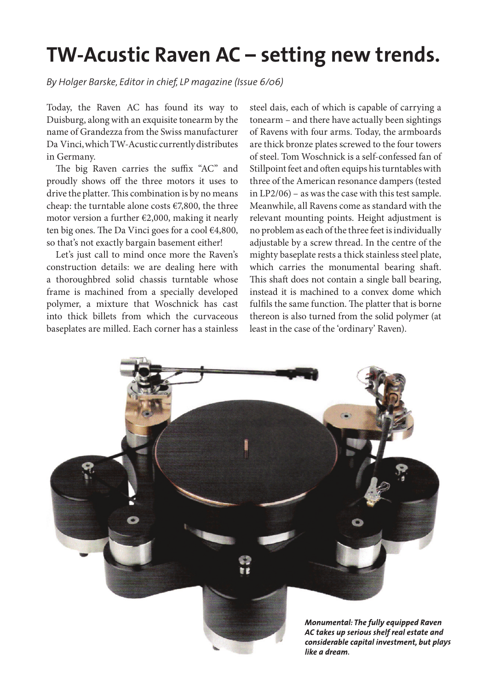## **TW-Acustic Raven AC – setting new trends.**

*By Holger Barske, Editor in chief, LP magazine (Issue 6/06)* 

Today, the Raven AC has found its way to Duisburg, along with an exquisite tonearm by the name of Grandezza from the Swiss manufacturer Da Vinci, which TW-Acustic currently distributes in Germany.

The big Raven carries the suffix "AC" and proudly shows off the three motors it uses to drive the platter. This combination is by no means cheap: the turntable alone costs €7,800, the three motor version a further €2,000, making it nearly ten big ones. The Da Vinci goes for a cool  $\in$ 4,800, so that's not exactly bargain basement either!

Let's just call to mind once more the Raven's construction details: we are dealing here with a thoroughbred solid chassis turntable whose frame is machined from a specially developed polymer, a mixture that Woschnick has cast into thick billets from which the curvaceous baseplates are milled. Each corner has a stainless

steel dais, each of which is capable of carrying a tonearm – and there have actually been sightings of Ravens with four arms. Today, the armboards are thick bronze plates screwed to the four towers of steel. Tom Woschnick is a self-confessed fan of Stillpoint feet and often equips his turntables with three of the American resonance dampers (tested in LP2/06) – as was the case with this test sample. Meanwhile, all Ravens come as standard with the relevant mounting points. Height adjustment is no problem as each of the three feet is individually adjustable by a screw thread. In the centre of the mighty baseplate rests a thick stainless steel plate, which carries the monumental bearing shaft. This shaft does not contain a single ball bearing, instead it is machined to a convex dome which fulfils the same function. The platter that is borne thereon is also turned from the solid polymer (at least in the case of the 'ordinary' Raven).

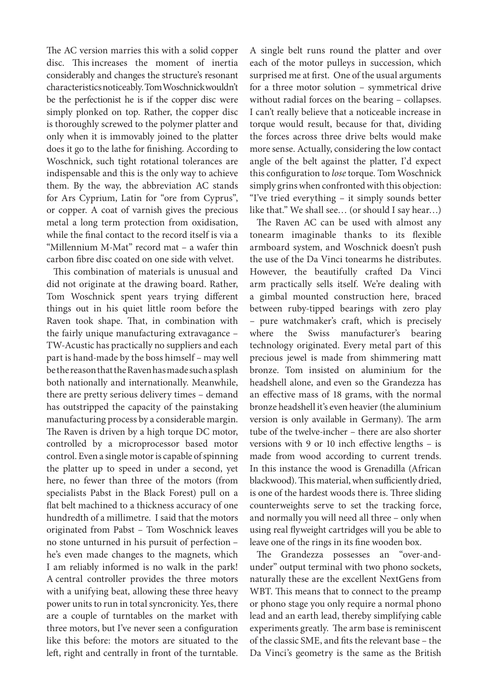The AC version marries this with a solid copper disc. This increases the moment of inertia considerably and changes the structure's resonant characteristics noticeably. Tom Woschnick wouldn't be the perfectionist he is if the copper disc were simply plonked on top. Rather, the copper disc is thoroughly screwed to the polymer platter and only when it is immovably joined to the platter does it go to the lathe for finishing. According to Woschnick, such tight rotational tolerances are indispensable and this is the only way to achieve them. By the way, the abbreviation AC stands for Ars Cyprium, Latin for "ore from Cyprus", or copper. A coat of varnish gives the precious metal a long term protection from oxidisation, while the final contact to the record itself is via a "Millennium M-Mat" record mat – a wafer thin carbon fibre disc coated on one side with velvet.

This combination of materials is unusual and did not originate at the drawing board. Rather, Tom Woschnick spent years trying different things out in his quiet little room before the Raven took shape. That, in combination with the fairly unique manufacturing extravagance – TW-Acustic has practically no suppliers and each part is hand-made by the boss himself – may well be the reason that the Raven has made such a splash both nationally and internationally. Meanwhile, there are pretty serious delivery times – demand has outstripped the capacity of the painstaking manufacturing process by a considerable margin. The Raven is driven by a high torque DC motor, controlled by a microprocessor based motor control. Even a single motor is capable of spinning the platter up to speed in under a second, yet here, no fewer than three of the motors (from specialists Pabst in the Black Forest) pull on a flat belt machined to a thickness accuracy of one hundredth of a millimetre. I said that the motors originated from Pabst – Tom Woschnick leaves no stone unturned in his pursuit of perfection – he's even made changes to the magnets, which I am reliably informed is no walk in the park! A central controller provides the three motors with a unifying beat, allowing these three heavy power units to run in total syncronicity. Yes, there are a couple of turntables on the market with three motors, but I've never seen a configuration like this before: the motors are situated to the left, right and centrally in front of the turntable.

A single belt runs round the platter and over each of the motor pulleys in succession, which surprised me at first. One of the usual arguments for a three motor solution – symmetrical drive without radial forces on the bearing – collapses. I can't really believe that a noticeable increase in torque would result, because for that, dividing the forces across three drive belts would make more sense. Actually, considering the low contact angle of the belt against the platter, I'd expect this configuration to *lose* torque. Tom Woschnick simply grins when confronted with this objection: "I've tried everything – it simply sounds better like that." We shall see… (or should I say hear…)

The Raven AC can be used with almost any tonearm imaginable thanks to its flexible armboard system, and Woschnick doesn't push the use of the Da Vinci tonearms he distributes. However, the beautifully crafted Da Vinci arm practically sells itself. We're dealing with a gimbal mounted construction here, braced between ruby-tipped bearings with zero play – pure watchmaker's craft, which is precisely where the Swiss manufacturer's bearing technology originated. Every metal part of this precious jewel is made from shimmering matt bronze. Tom insisted on aluminium for the headshell alone, and even so the Grandezza has an effective mass of 18 grams, with the normal bronze headshell it's even heavier (the aluminium version is only available in Germany). The arm tube of the twelve-incher – there are also shorter versions with 9 or 10 inch effective lengths  $-$  is made from wood according to current trends. In this instance the wood is Grenadilla (African blackwood). This material, when sufficiently dried, is one of the hardest woods there is. Three sliding counterweights serve to set the tracking force, and normally you will need all three – only when using real flyweight cartridges will you be able to leave one of the rings in its fine wooden box.

The Grandezza possesses an "over-andunder" output terminal with two phono sockets, naturally these are the excellent NextGens from WBT. This means that to connect to the preamp or phono stage you only require a normal phono lead and an earth lead, thereby simplifying cable experiments greatly. The arm base is reminiscent of the classic SME, and fits the relevant base - the Da Vinci's geometry is the same as the British